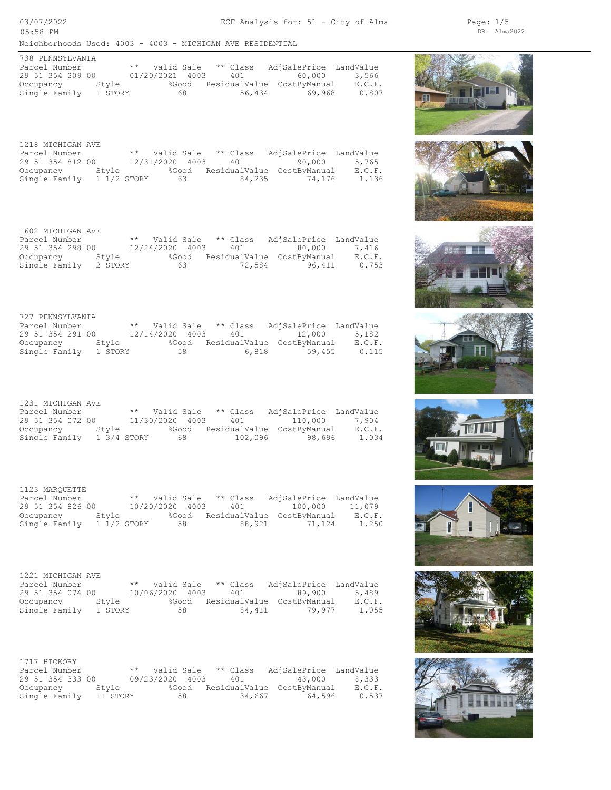03/07/2022 05:58 PM

Neighborhoods Used: 4003 - 4003 - MICHIGAN AVE RESIDENTIAL

| 738 PENNSYLVANIA |         |                 |       |          |                            |        |
|------------------|---------|-----------------|-------|----------|----------------------------|--------|
| Parcel Number    |         | ** Valid Sale   |       | ** Class | AdjSalePrice LandValue     |        |
| 29 51 354 309 00 |         | 01/20/2021 4003 |       | 401      | 60,000                     | 3,566  |
| Occupancy        | Stvle   |                 | %Good |          | ResidualValue CostByManual | E.C.F. |
| Single Family    | 1 STORY |                 | 68    | 56,434   | 69.968                     | 0.807  |

| 1218 MICHIGAN AVE |             |                 |       |          |                            |        |
|-------------------|-------------|-----------------|-------|----------|----------------------------|--------|
| Parcel Number     |             | ** Valid Sale   |       | ** Class | AdjSalePrice LandValue     |        |
| 29 51 354 812 00  |             | 12/31/2020 4003 |       | 401      | 90,000                     | 5,765  |
| Occupancy         | Stvle       |                 | %Good |          | ResidualValue CostByManual | E.C.F. |
| Single Family     | 1 1/2 STORY |                 | 63    | 84,235   | 74.176                     | 1.136  |

| 1602 MICHIGAN AVE     |       |                 |       |          |                            |        |
|-----------------------|-------|-----------------|-------|----------|----------------------------|--------|
| Parcel Number         |       | ** Valid Sale   |       | ** Class | AdjSalePrice LandValue     |        |
| 29 51 354 298 00      |       | 12/24/2020 4003 |       | 401      | 80.000                     | 7,416  |
| Occupancy             | Stvle |                 | %Good |          | ResidualValue CostByManual | E.C.F. |
| Single Family 2 STORY |       |                 | 63    | 72,584   | 96,411                     | 0.753  |

| 727 PENNSYLVANIA |         |                 |          |                            |        |
|------------------|---------|-----------------|----------|----------------------------|--------|
| Parcel Number    |         | ** Valid Sale   | ** Class | AdjSalePrice LandValue     |        |
| 29 51 354 291 00 |         | 12/14/2020 4003 | 401      | 12,000                     | 5,182  |
| Occupancy        | Stvle   | %Good           |          | ResidualValue CostByManual | E.C.F. |
| Single Family    | 1 STORY | 58              | 6,818    | 59,455                     | 0.115  |

| 1231 MICHIGAN AVE |             |                 |          |                                  |        |
|-------------------|-------------|-----------------|----------|----------------------------------|--------|
| Parcel Number     |             | ** Valid Sale   | ** Class | AdjSalePrice LandValue           |        |
| 29 51 354 072 00  |             | 11/30/2020 4003 | 401      | 110,000                          | 7,904  |
| Occupancy         | Stvle       |                 |          | %Good ResidualValue CostByManual | E.C.F. |
| Single Family     | 1 3/4 STORY | 68 -            | 102,096  | 98,696                           | 1.034  |

| 1123 MAROUETTE   |             |                 |    |          |                            |        |
|------------------|-------------|-----------------|----|----------|----------------------------|--------|
| Parcel Number    |             | ** Valid Sale   |    | ** Class | AdjSalePrice LandValue     |        |
| 29 51 354 826 00 |             | 10/20/2020 4003 |    | 401      | 100,000                    | 11,079 |
| Occupancy        | Stvle       | %Good           |    |          | ResidualValue CostByManual | E.C.F. |
| Single Family    | 1 1/2 STORY |                 | 58 | 88,921   | 71,124                     | 1.250  |

| 1221 MICHIGAN AVE |         |                     |       |          |                            |        |
|-------------------|---------|---------------------|-------|----------|----------------------------|--------|
| Parcel Number     |         | ** Valid Sale       |       | ** Class | AdjSalePrice LandValue     |        |
| 29 51 354 074 00  |         | 10/06/2020 4003 401 |       |          | 89.900                     | 5,489  |
| Occupancy         | Stvle   |                     | %Good |          | ResidualValue CostByManual | E.C.F. |
| Single Family     | 1 STORY |                     | 58    | 84,411   | 79.977                     | 1.055  |

| 1717 HICKORY     |          |                        |        |                            |        |
|------------------|----------|------------------------|--------|----------------------------|--------|
| Parcel Number    |          | ** Valid Sale ** Class |        | AdjSalePrice LandValue     |        |
| 29 51 354 333 00 |          | 09/23/2020 4003        | 401    | 43.000                     | 8,333  |
| Occupancy        | Stvle    | %Good                  |        | ResidualValue CostByManual | E.C.F. |
| Single Family    | 1+ STORY | 58                     | 34,667 | 64,596                     | 0.537  |

















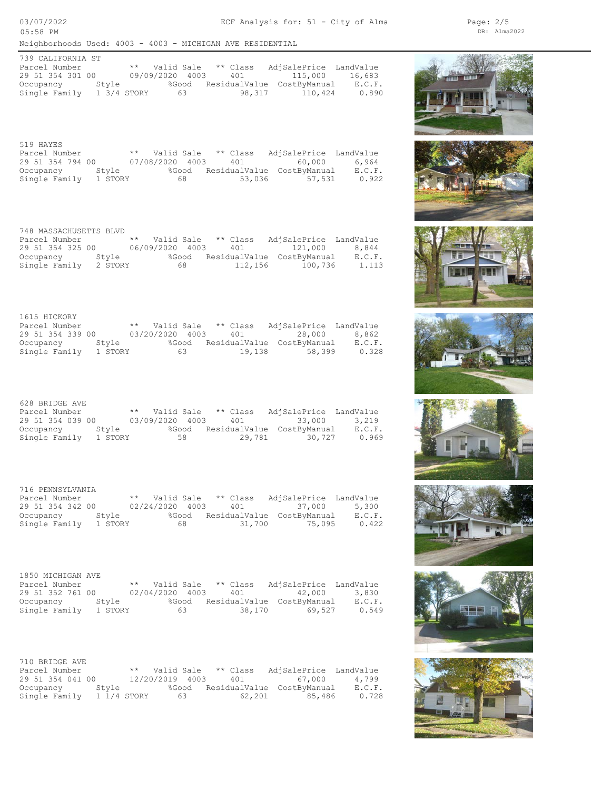Neighborhoods Used: 4003 - 4003 - MICHIGAN AVE RESIDENTIAL

| 739 CALIFORNIA ST |             |                 |       |            |                            |        |
|-------------------|-------------|-----------------|-------|------------|----------------------------|--------|
| Parcel Number     |             | ** Valid Sale   |       | $**$ Class | AdjSalePrice LandValue     |        |
| 29 51 354 301 00  |             | 09/09/2020 4003 |       | 401        | 115,000                    | 16,683 |
| Occupancy         | Stvle       |                 | %Good |            | ResidualValue CostByManual | E.C.F. |
| Single Family     | 1 3/4 STORY |                 | 63    | 98,317     | 110,424                    | 0.890  |

| 519 HAYES        |         |                 |       |          |                            |        |
|------------------|---------|-----------------|-------|----------|----------------------------|--------|
| Parcel Number    |         | ** Valid Sale   |       | ** Class | AdjSalePrice LandValue     |        |
| 29 51 354 794 00 |         | 07/08/2020 4003 |       | 401      | 60,000                     | 6,964  |
| Occupancy        | Stvle   |                 | %Good |          | ResidualValue CostByManual | E.C.F. |
| Single Family    | 1 STORY |                 | 68    | 53,036   | 57,531                     | 0.922  |

Single Family 2 STORY 68 112,156 100,736 1.113 Occupancy Style %Good ResidualValue CostByManual E.C.F. 29 51 354 325 00 06/09/2020 4003 401 121,000 8,844 Parcel Number \*\* Valid Sale \*\* Class AdjSalePrice LandValue 748 MASSACHUSETTS BLVD

| 1615 HICKORY     |         |                 |          |                            |        |
|------------------|---------|-----------------|----------|----------------------------|--------|
| Parcel Number    |         | ** Valid Sale   | ** Class | AdjSalePrice LandValue     |        |
| 29 51 354 339 00 |         | 03/20/2020 4003 | 401      | 28,000                     | 8,862  |
| Occupancy Style  |         | %Good           |          | ResidualValue CostByManual | E.C.F. |
| Single Family    | 1 STORY | 63              | 19,138   | 58,399                     | 0.328  |

| 628 BRIDGE AVE   |         |                        |       |        |                            |        |
|------------------|---------|------------------------|-------|--------|----------------------------|--------|
| Parcel Number    |         | ** Valid Sale ** Class |       |        | AdjSalePrice LandValue     |        |
| 29 51 354 039 00 |         | 03/09/2020 4003 401    |       |        | 33,000                     | 3,219  |
| Occupancy        | Stvle   |                        | %Good |        | ResidualValue CostByManual | E.C.F. |
| Single Family    | 1 STORY |                        | 58    | 29,781 | 30,727                     | 0.969  |

| 716 PENNSYLVANIA |         |                 |       |          |                            |        |
|------------------|---------|-----------------|-------|----------|----------------------------|--------|
| Parcel Number    |         | ** Valid Sale   |       | ** Class | AdjSalePrice LandValue     |        |
| 29 51 354 342 00 |         | 02/24/2020 4003 |       | 401      | 37.000                     | 5,300  |
| Occupancy        | Stvle   |                 | %Good |          | ResidualValue CostByManual | E.C.F. |
| Single Family    | 1 STORY |                 | 68.   | 31,700   | 75,095                     | 0.422  |

| 1850 MICHIGAN AVE |         |                 |       |                        |                            |        |
|-------------------|---------|-----------------|-------|------------------------|----------------------------|--------|
| Parcel Number     |         |                 |       | ** Valid Sale ** Class | AdjSalePrice LandValue     |        |
| 29 51 352 761 00  |         | 02/04/2020 4003 |       | 401                    | 42,000                     | 3,830  |
| Occupancy         | Stvle   |                 | %Good |                        | ResidualValue CostByManual | E.C.F. |
| Single Family     | 1 STORY |                 | 63    | 38,170                 | 69,527                     | 0.549  |

| 710 BRIDGE AVE   |             |                 |    |                        |                                  |        |
|------------------|-------------|-----------------|----|------------------------|----------------------------------|--------|
| Parcel Number    |             |                 |    | ** Valid Sale ** Class | AdjSalePrice LandValue           |        |
| 29 51 354 041 00 |             | 12/20/2019 4003 |    | 401                    | 67,000                           | 4.799  |
| Occupancy        | Stvle       |                 |    |                        | %Good ResidualValue CostByManual | E.C.F. |
| Single Family    | 1 1/4 STORY |                 | 63 | 62,201                 | 85,486                           | 0.728  |

















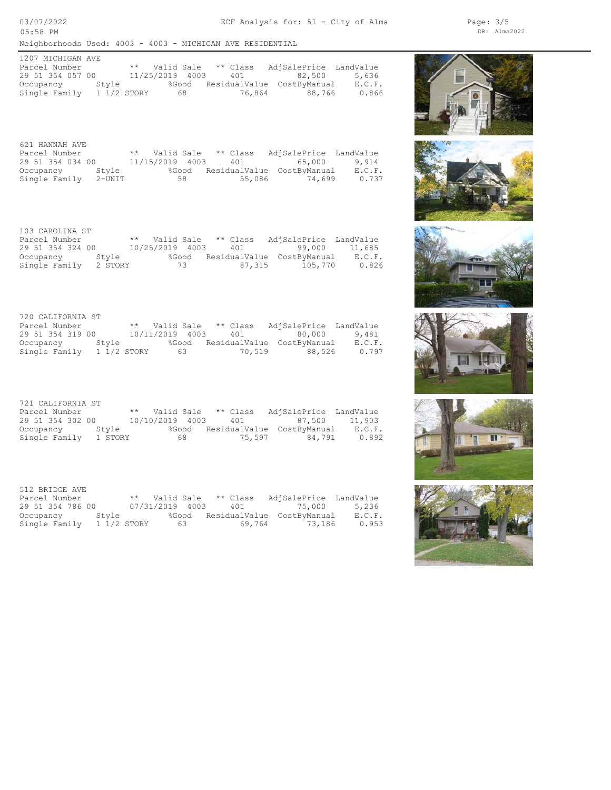Neighborhoods Used: 4003 - 4003 - MICHIGAN AVE RESIDENTIAL

| 1207 MICHIGAN AVE |             |                 |       |            |                            |        |
|-------------------|-------------|-----------------|-------|------------|----------------------------|--------|
| Parcel Number     |             | ** Valid Sale   |       | $**$ Class | AdjSalePrice LandValue     |        |
| 29 51 354 057 00  |             | 11/25/2019 4003 |       | 401        | 82,500                     | 5,636  |
| Occupancy         | Stvle       |                 | %Good |            | ResidualValue CostByManual | E.C.F. |
| Single Family     | 1 1/2 STORY |                 | 68    | 76,864     | 88,766                     | 0.866  |

| 621 HANNAH AVE       |       |                 |       |          |                            |        |
|----------------------|-------|-----------------|-------|----------|----------------------------|--------|
| Parcel Number        |       | ** Valid Sale   |       | ** Class | AdjSalePrice LandValue     |        |
| 29 51 354 034 00     |       | 11/15/2019 4003 |       | 401      | 65,000                     | 9,914  |
| Occupancy            | Stvle |                 | %Good |          | ResidualValue CostByManual | E.C.F. |
| Single Family 2-UNIT |       |                 | 58    | 55,086   | 74.699                     | 0.737  |

| 103 CAROLINA ST       |       |                 |       |          |                            |        |
|-----------------------|-------|-----------------|-------|----------|----------------------------|--------|
| Parcel Number         |       | ** Valid Sale   |       | ** Class | AdjSalePrice LandValue     |        |
| 29 51 354 324 00      |       | 10/25/2019 4003 |       | 401      | 99,000                     | 11,685 |
| Occupancy             | Stvle |                 | %Good |          | ResidualValue CostByManual | E.C.F. |
| Single Family 2 STORY |       |                 | 73    | 87,315   | 105,770                    | 0.826  |

| 720 CALIFORNIA ST |             |                 |    |          |                            |        |
|-------------------|-------------|-----------------|----|----------|----------------------------|--------|
| Parcel Number     |             | ** Valid Sale   |    | ** Class | AdjSalePrice LandValue     |        |
| 29 51 354 319 00  |             | 10/11/2019 4003 |    | 401      | 80,000                     | 9,481  |
| Occupancy Style   |             | %Good           |    |          | ResidualValue CostByManual | E.C.F. |
| Single Family     | 1 1/2 STORY |                 | 63 | 70,519   | 88,526                     | 0.797  |

| 721 CALIFORNIA ST |         |      |                        |                                  |        |
|-------------------|---------|------|------------------------|----------------------------------|--------|
| Parcel Number     |         |      | ** Valid Sale ** Class | AdjSalePrice LandValue           |        |
| 29 51 354 302 00  |         |      | 10/10/2019 4003 401    | 87,500                           | 11,903 |
| Occupancy         | Stvle   |      |                        | %Good ResidualValue CostByManual | E.C.F. |
| Single Family     | 1 STORY | 68 - | 75,597                 | 84,791                           | 0.892  |

| 512 BRIDGE AVE     |             |                 |                        |                                  |        |
|--------------------|-------------|-----------------|------------------------|----------------------------------|--------|
| Parcel Number      |             |                 | ** Valid Sale ** Class | AdjSalePrice LandValue           |        |
| 29 51 354 786 00   |             | 07/31/2019 4003 |                        | 401 75,000                       | 5,236  |
| Stvle<br>Occupancy |             |                 |                        | %Good ResidualValue CostByManual | E.C.F. |
| Single Family      | 1 1/2 STORY | 63              |                        | 69,764 73,186                    | 0.953  |











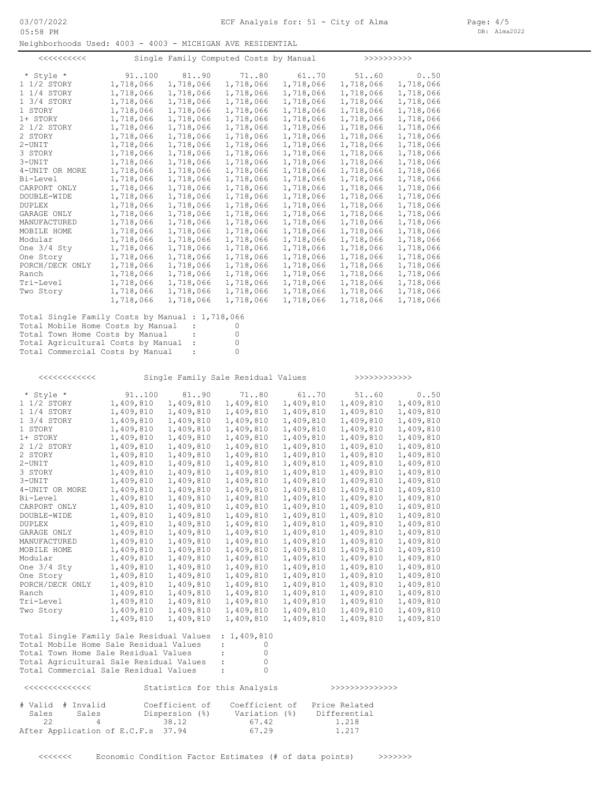Neighborhoods Used: 4003 - 4003 - MICHIGAN AVE RESIDENTIAL

| $<<<<<<<<<<$          |           |           | Single Family Computed Costs by Manual |           | >>>>>>>>>>>> |           |
|-----------------------|-----------|-----------|----------------------------------------|-----------|--------------|-----------|
| * Style *             | 91.100    | 8190      | 7180                                   | 61.070    | 51.060       | 0.050     |
| 1 1/2 STORY           | 1,718,066 | 1,718,066 | 1,718,066                              | 1,718,066 | 1,718,066    | 1,718,066 |
| $1\frac{1}{4}$ STORY  | 1,718,066 | 1,718,066 | 1,718,066                              | 1,718,066 | 1,718,066    | 1,718,066 |
| $1 \frac{3}{4}$ STORY | 1,718,066 | 1,718,066 | 1,718,066                              | 1,718,066 | 1,718,066    | 1,718,066 |
| 1 STORY               | 1,718,066 | 1,718,066 | 1,718,066                              | 1,718,066 | 1,718,066    | 1,718,066 |
| 1+ STORY              | 1,718,066 | 1,718,066 | 1,718,066                              | 1,718,066 | 1,718,066    | 1,718,066 |
| 2 1/2 STORY           | 1,718,066 | 1,718,066 | 1,718,066                              | 1,718,066 | 1,718,066    | 1,718,066 |
| 2 STORY               | 1,718,066 | 1,718,066 | 1,718,066                              | 1,718,066 | 1,718,066    | 1,718,066 |
| $2 - UNIT$            | 1,718,066 | 1,718,066 | 1,718,066                              | 1,718,066 | 1,718,066    | 1,718,066 |
| 3 STORY               | 1,718,066 | 1,718,066 | 1,718,066                              | 1,718,066 | 1,718,066    | 1,718,066 |
| $3 - UNIT$            | 1,718,066 | 1,718,066 | 1,718,066                              | 1,718,066 | 1,718,066    | 1,718,066 |
| 4-UNIT OR MORE        | 1,718,066 | 1,718,066 | 1,718,066                              | 1,718,066 | 1,718,066    | 1,718,066 |
| Bi-Level              | 1,718,066 | 1,718,066 | 1,718,066                              | 1,718,066 | 1,718,066    | 1,718,066 |
| CARPORT ONLY          | 1,718,066 | 1,718,066 | 1,718,066                              | 1,718,066 | 1,718,066    | 1,718,066 |
| DOUBLE-WIDE           | 1,718,066 | 1,718,066 | 1,718,066                              | 1,718,066 | 1,718,066    | 1,718,066 |
| <b>DUPLEX</b>         | 1,718,066 | 1,718,066 | 1,718,066                              | 1,718,066 | 1,718,066    | 1,718,066 |
| GARAGE ONLY           | 1,718,066 | 1,718,066 | 1,718,066                              | 1,718,066 | 1,718,066    | 1,718,066 |
| MANUFACTURED          | 1,718,066 | 1,718,066 | 1,718,066                              | 1,718,066 | 1,718,066    | 1,718,066 |
| MOBILE HOME           | 1,718,066 | 1,718,066 | 1,718,066                              | 1,718,066 | 1,718,066    | 1,718,066 |
| Modular               | 1,718,066 | 1,718,066 | 1,718,066                              | 1,718,066 | 1,718,066    | 1,718,066 |
| One $3/4$ Sty         | 1,718,066 | 1,718,066 | 1,718,066                              | 1,718,066 | 1,718,066    | 1,718,066 |
| One Story             | 1,718,066 | 1,718,066 | 1,718,066                              | 1,718,066 | 1,718,066    | 1,718,066 |
| PORCH/DECK ONLY       | 1,718,066 | 1,718,066 | 1,718,066                              | 1,718,066 | 1,718,066    | 1,718,066 |
| Ranch                 | 1,718,066 | 1,718,066 | 1,718,066                              | 1,718,066 | 1,718,066    | 1,718,066 |
| Tri-Level             | 1,718,066 | 1,718,066 | 1,718,066                              | 1,718,066 | 1,718,066    | 1,718,066 |
| Two Story             | 1,718,066 | 1,718,066 | 1,718,066                              | 1,718,066 | 1,718,066    | 1,718,066 |
|                       | 1,718,066 | 1,718,066 | 1,718,066                              | 1,718,066 | 1,718,066    | 1,718,066 |

Total Commercial Costs by Manual : 0 Total Agricultural Costs by Manual : 0 Total Town Home Costs by Manual : 0 Total Mobile Home Costs by Manual : 0<br>Total Town Home Costs by Manual : 0 Total Single Family Costs by Manual : 1,718,066

Total Commercial Sale Residual Values : 0 Total Agricultural Sale Residual Values : 0 Total Town Home Sale Residual Values : 0 Total Mobile Home Sale Residual Values : 0 Total Single Family Sale Residual Values : 1,409,810 1,409,810 1,409,810 1,409,810 1,409,810 1,409,810 1,409,810<br>1,409,810 1,409,810 1,409,810 1,409,810 1,409,810 1,409,810<br>1,409,810 1,409,810 1,409,810 1,409,810 1,409,810 1,409,810 Two Story 1,409,810 1,409,810 1,409,810 1,409,810 1,409,810 1,409,810 Tri-Level 1,409,810 1,409,810 1,409,810 1,409,810 1,409,810 1,409,810 Ranch 1,409,810 1,409,810 1,409,810 1,409,810 1,409,810 1,409,810 1,409,810 1,409,810 1,409,810 1,409,810 1,409,810 1,409,810 1,409,810 1,409,810 1,409,810 1,409,810 1,409,810 1,409,810 1,409,810 1,409,810 1,409,810 1,409, 0ne Story 1,409,810 1,409,810 1,409,810 1,409,810 1,409,810 1,409,810 1,409,810 1,409,810 1,409,810 1,409,810 One Story 1,409,810 1,409,810 1,409,810 1,409,810 1,409,810 1,409,810 One 3/4 Sty 1,409,810 1,409,810 1,409,810 1,409,810 1,409,810 1,409,810 Modular 1,409,810 1,409,810 1,409,810 1,409,810 1,409,810 1,409,810<br>One 3/4 Sty 1,409,810 1,409,810 1,409,810 1,409,810 1,409,810 1,409,810 MANUFACTURED 1,409,810 1,409,810 1,409,810 1,409,810 1,409,810 1,409,810<br>MOBILE HOME 1,409,810 1,409,810 1,409,810 1,409,810 1,409,810 1,409,810 MANUFACTURED 1,409,810 1,409,810 1,409,810 1,409,810 1,409,810 1,409,810 GARAGE ONLY 1,409,810 1,409,810 1,409,810 1,409,810 1,409,810 1,409,810 CARPORT ONLY 1,409,810 1,409,810 1,409,810 1,409,810 1,409,810 1,409,810 1,409,810 1,409,810 1,409,810 1,409,810 1,409,810 1,409,810 1,409,810 1,409,810 1,409,810 1,409,810 1,409,810 1,409,810 1,409,810 1,409,810 1,409,810 CARPORT ONLY 1,409,810 1,409,810 1,409,810 1,409,810 1,409,810 1,409,810 1,409,810 CARPORT ONLY Bi-Level 1,409,810 1,409,810 1,409,810 1,409,810 1,409,810 1,409,810 4-UNIT 1,409,810 1,409,810 1,409,810 1,409,810 1,409,810 1,409,810<br>4-UNIT OR MORE 1,409,810 1,409,810 1,409,810 1,409,810 1,409,810 1,409,810<br>Bi-Level 1,409,810 1,409,810 1,409,810 1,409,810 1,409,810 1,409,810 3-UNIT 1,409,810 1,409,810 1,409,810 1,409,810 1,409,810 1,409,810 3 STORY 1,409,810 1,409,810 1,409,810 1,409,810 1,409,810 1,409,810 2 STORY 1,409,810 1,409,810 1,409,810 1,409,810 1,409,810 1,409,810 1,409,810 1,409,810 1,409,810 1,409,810 1,409,810 1,409,810 1,409,810 1,409,810 1,409,810 1,409,810 1,409,810 1,409,810 1,409,810 1,409,810 1,409,810 1,40 2 1/2 STORY 1,409,810 1,409,810 1,409,810 1,409,810 1,409,810 1,409,810<br>2 STORY 1,409,810 1,409,810 1,409,810 1,409,810 1,409,810 1,409,810 2 1/2 STORY 1,409,810 1,409,810 1,409,810 1,409,810 1,409,810 1,409,810 1+ STORY 1,409,810 1,409,810 1,409,810 1,409,810 1,409,810 1,409,810 1 STORY 1,409,810 1,409,810 1,409,810 1,409,810 1,409,810 1,409,810<br>1 + STORY 1,409,810 1,409,810 1,409,810 1,409,810 1,409,810 1,409,810<br>2 1/2 STORY 1,409,810 1,409,810 1,409,810 1,409,810 1,409,810 1,409,810 1 3/4 STORY 1,409,810 1,409,810 1,409,810 1,409,810 1,409,810 1,409,810 1 1/4 STORY 1,409,810 1,409,810 1,409,810 1,409,810 1,409,810 1,409,810 1 1/2 STORY 1,409,810 1,409,810 1,409,810 1,409,810 1,409,810 1,409,810 1,409,810 1,409,810 1,409,810 1,409,810<br>1 3/4 STORY 1,409,810 1,409,810 1,409,810 1,409,810 1,409,810 1,409,810 1,409,810 \* Style \* 91..100 81..90 71..80 61..70 51..60 0..50 <<<<<<<<<<<< Single Family Sale Residual Values >>>>>>>>>>>>

| くくくくくくくくくくくくくくく |                   |                                    | Statistics for this Analysis |               |  |
|-----------------|-------------------|------------------------------------|------------------------------|---------------|--|
|                 | # Valid # Invalid | Coefficient of                     | Coefficient of               | Price Related |  |
| Sales           | Sales             | Dispersion (%)                     | Variation (%)                | Differential  |  |
| - 22            |                   | 38.12                              | 67.42                        | 1.218         |  |
|                 |                   | After Application of E.C.F.s 37.94 | 67.29                        | 1.217         |  |